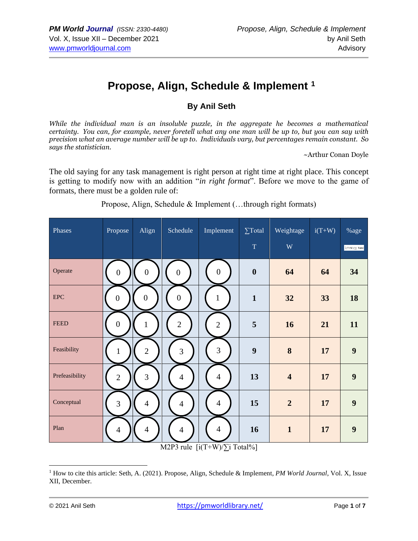# **Propose, Align, Schedule & Implement <sup>1</sup>**

## **By Anil Seth**

*While the individual man is an insoluble puzzle, in the aggregate he becomes a mathematical certainty. You can, for example, never foretell what any one man will be up to, but you can say with precision what an average number will be up to. Individuals vary, but percentages remain constant. So says the statistician.*

~Arthur Conan Doyle

The old saying for any task management is right person at right time at right place. This concept is getting to modify now with an addition "*in right format*". Before we move to the game of formats, there must be a golden rule of:

| Phases         | Propose          | Align            | Schedule         | Implement      | $\Sigma$ Total   | Weightage               | $i(T+W)$ | %age                  |
|----------------|------------------|------------------|------------------|----------------|------------------|-------------------------|----------|-----------------------|
|                |                  |                  |                  |                | $\mathbf T$      | $\ensuremath{\text{W}}$ |          | $i(T+W)/\sum i$ Total |
| Operate        | 0                | $\boldsymbol{0}$ | 0                | $\overline{0}$ | $\boldsymbol{0}$ | 64                      | 64       | 34                    |
| ${\rm EPC}$    | $\boldsymbol{0}$ | $\overline{0}$   | $\boldsymbol{0}$ | 1              | $\mathbf{1}$     | 32                      | 33       | 18                    |
| <b>FEED</b>    | $\boldsymbol{0}$ | 1                | $\mathbf{2}$     | $\overline{2}$ | 5                | 16                      | 21       | 11                    |
| Feasibility    | $\mathbf{1}$     | $\mathbf{2}$     | 3                | 3              | $\boldsymbol{9}$ | 8                       | 17       | $\boldsymbol{9}$      |
| Prefeasibility | $\overline{2}$   | $\overline{3}$   | $\overline{4}$   | $\overline{4}$ | 13               | $\overline{\mathbf{4}}$ | 17       | $\boldsymbol{9}$      |
| Conceptual     | $\overline{3}$   | $\overline{4}$   | $\overline{4}$   | $\overline{4}$ | 15               | $\overline{2}$          | 17       | 9                     |
| Plan           | $\overline{4}$   | $\overline{4}$   | $\overline{4}$   | $\overline{4}$ | 16               | $\mathbf{1}$            | 17       | $\boldsymbol{9}$      |

Propose, Align, Schedule & Implement (…through right formats)

M2P3 rule [i(T+W)/∑i Total%]

<sup>1</sup> How to cite this article: Seth, A. (2021). Propose, Align, Schedule & Implement, *PM World Journal*, Vol. X, Issue XII, December.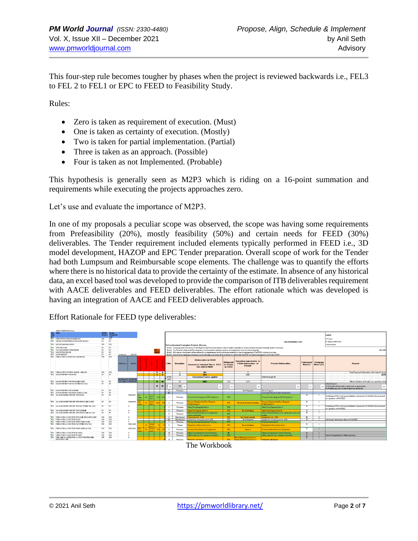This four-step rule becomes tougher by phases when the project is reviewed backwards i.e., FEL3 to FEL 2 to FEL1 or EPC to FEED to Feasibility Study.

Rules:

- Zero is taken as requirement of execution. (Must)
- One is taken as certainty of execution. (Mostly)
- Two is taken for partial implementation. (Partial)
- Three is taken as an approach. (Possible)
- Four is taken as not Implemented. (Probable)

This hypothesis is generally seen as M2P3 which is riding on a 16-point summation and requirements while executing the projects approaches zero.

Let's use and evaluate the importance of M2P3.

In one of my proposals a peculiar scope was observed, the scope was having some requirements from Prefeasibility (20%), mostly feasibility (50%) and certain needs for FEED (30%) deliverables. The Tender requirement included elements typically performed in FEED i.e., 3D model development, HAZOP and EPC Tender preparation. Overall scope of work for the Tender had both Lumpsum and Reimbursable scope elements. The challenge was to quantify the efforts where there is no historical data to provide the certainty of the estimate. In absence of any historical data, an excel based tool was developed to provide the comparison of ITB deliverables requirement with AACE deliverables and FEED deliverables. The effort rationale which was developed is having an integration of AACE and FEED deliverables approach.

Effort Rationale for FEED type deliverables:



The Workbook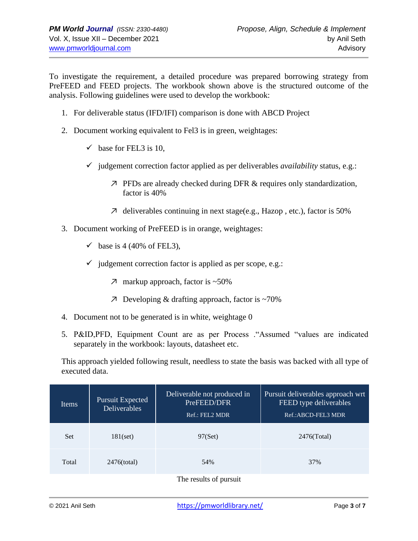To investigate the requirement, a detailed procedure was prepared borrowing strategy from PreFEED and FEED projects. The workbook shown above is the structured outcome of the analysis. Following guidelines were used to develop the workbook:

- 1. For deliverable status (IFD/IFI) comparison is done with ABCD Project
- 2. Document working equivalent to Fel3 is in green, weightages:
	- $\checkmark$  base for FEL3 is 10,
	- $\checkmark$  judgement correction factor applied as per deliverables *availability* status, e.g.:
		- ↗ PFDs are already checked during DFR & requires only standardization, factor is 40%
		- $\overline{\mathcal{A}}$  deliverables continuing in next stage(e.g., Hazop, etc.), factor is 50%
- 3. Document working of PreFEED is in orange, weightages:
	- $\checkmark$  base is 4 (40% of FEL3),
	- $\checkmark$  judgement correction factor is applied as per scope, e.g.:
		- $\overline{7}$  markup approach, factor is ~50%
		- $\overline{z}$  Developing & drafting approach, factor is ~70%
- 4. Document not to be generated is in white, weightage 0
- 5. P&ID,PFD, Equipment Count are as per Process ."Assumed "values are indicated separately in the workbook: layouts, datasheet etc.

This approach yielded following result, needless to state the basis was backed with all type of executed data.

| Items      | Pursuit Expected<br>Deliverables | Deliverable not produced in<br>PreFEED/DFR<br>Ref.: FEL2 MDR | Pursuit deliverables approach wrt<br>FEED type deliverables<br>Ref.: ABCD-FEL3 MDR |  |  |
|------------|----------------------------------|--------------------------------------------------------------|------------------------------------------------------------------------------------|--|--|
| <b>Set</b> | $181$ (set)                      | 97(Set)                                                      | $2476$ (Total)                                                                     |  |  |
| Total      | 2476(total)                      | 54%                                                          | 37%                                                                                |  |  |
|            |                                  | The results of pursuit                                       |                                                                                    |  |  |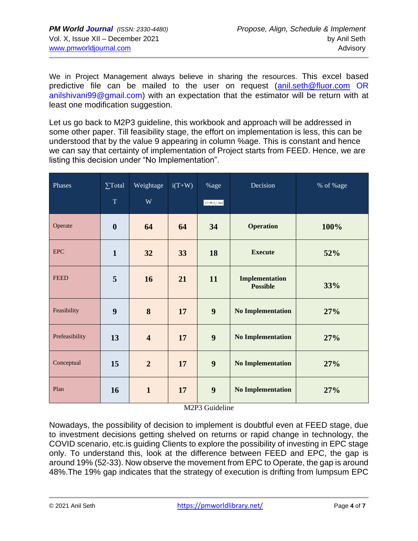We in Project Management always believe in sharing the resources. This excel based predictive file can be mailed to the user on request [\(anil.seth@fluor.com](mailto:anil.seth@fluor.com) OR anilshivani99@gmail.com) with an expectation that the estimator will be return with at least one modification suggestion.

Let us go back to M2P3 guideline, this workbook and approach will be addressed in some other paper. Till feasibility stage, the effort on implementation is less, this can be understood that by the value 9 appearing in column %age. This is constant and hence we can say that certainty of implementation of Project starts from FEED. Hence, we are listing this decision under "No Implementation".

| Phases         | $\Sigma$ Total<br>$\overline{T}$ | Weightage<br>W | $i(T+W)$ | %age<br>i(T+W)/∑i Total | Decision                                 | % of %age |
|----------------|----------------------------------|----------------|----------|-------------------------|------------------------------------------|-----------|
| Operate        | $\boldsymbol{0}$                 | 64             | 64       | 34                      | <b>Operation</b>                         | 100%      |
| <b>EPC</b>     | $\mathbf{1}$                     | 32             | 33       | 18                      | <b>Execute</b>                           | 52%       |
| <b>FEED</b>    | 5                                | 16             | 21       | 11                      | <b>Implementation</b><br><b>Possible</b> | 33%       |
| Feasibility    | $\boldsymbol{9}$                 | 8              | 17       | 9                       | <b>No Implementation</b>                 | 27%       |
| Prefeasibility | 13                               | $\overline{4}$ | 17       | 9                       | <b>No Implementation</b>                 | 27%       |
| Conceptual     | 15                               | $\overline{2}$ | 17       | 9                       | <b>No Implementation</b>                 | 27%       |
| Plan           | 16                               | $\mathbf{1}$   | 17       | 9                       | <b>No Implementation</b>                 | 27%       |

M2P3 Guideline

Nowadays, the possibility of decision to implement is doubtful even at FEED stage, due to investment decisions getting shelved on returns or rapid change in technology, the COVID scenario, etc.is guiding Clients to explore the possibility of investing in EPC stage only. To understand this, look at the difference between FEED and EPC, the gap is around 19% (52-33). Now observe the movement from EPC to Operate, the gap is around 48%.The 19% gap indicates that the strategy of execution is drifting from lumpsum EPC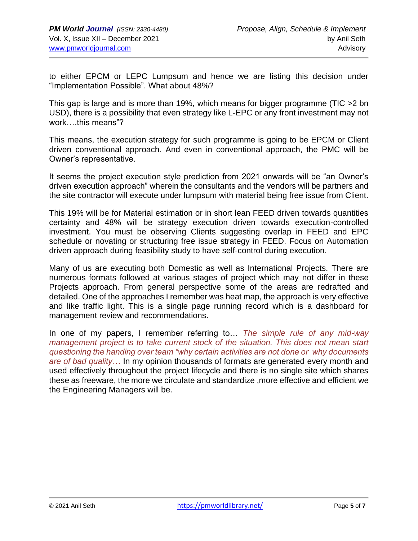to either EPCM or LEPC Lumpsum and hence we are listing this decision under "Implementation Possible". What about 48%?

This gap is large and is more than 19%, which means for bigger programme (TIC >2 bn USD), there is a possibility that even strategy like L-EPC or any front investment may not work….this means"?

This means, the execution strategy for such programme is going to be EPCM or Client driven conventional approach. And even in conventional approach, the PMC will be Owner's representative.

It seems the project execution style prediction from 2021 onwards will be "an Owner's driven execution approach" wherein the consultants and the vendors will be partners and the site contractor will execute under lumpsum with material being free issue from Client.

This 19% will be for Material estimation or in short lean FEED driven towards quantities certainty and 48% will be strategy execution driven towards execution-controlled investment. You must be observing Clients suggesting overlap in FEED and EPC schedule or novating or structuring free issue strategy in FEED. Focus on Automation driven approach during feasibility study to have self-control during execution.

Many of us are executing both Domestic as well as International Projects. There are numerous formats followed at various stages of project which may not differ in these Projects approach. From general perspective some of the areas are redrafted and detailed. One of the approaches I remember was heat map, the approach is very effective and like traffic light. This is a single page running record which is a dashboard for management review and recommendations.

In one of my papers, I remember referring to… *The simple rule of any mid-way management project is to take current stock of the situation. This does not mean start questioning the handing over team "why certain activities are not done or why documents are of bad quality*… In my opinion thousands of formats are generated every month and used effectively throughout the project lifecycle and there is no single site which shares these as freeware, the more we circulate and standardize ,more effective and efficient we the Engineering Managers will be.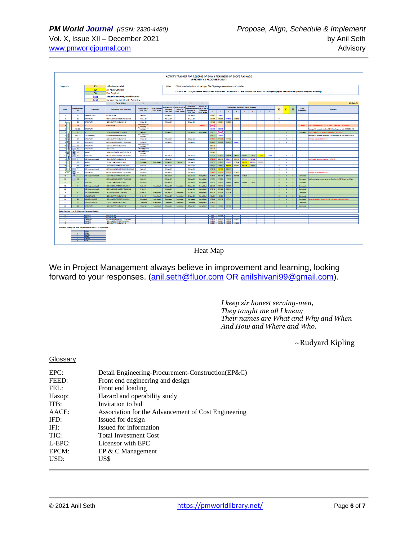

Heat Map

We in Project Management always believe in improvement and learning, looking forward to your responses. [\(anil.seth@fluor.com](mailto:anil.seth@fluor.com) OR [anilshivani99@gmail.com\)](mailto:anilshivani99@gmail.com).

> *I keep six honest serving-men, They taught me all I knew; Their names are What and Why and When And How and Where and Who.*

> > ~Rudyard Kipling

### Glossary

| EPC:   | Detail Engineering-Procurement-Construction(EP&C)   |
|--------|-----------------------------------------------------|
| FEED:  | Front end engineering and design                    |
| FEL:   | Front end loading                                   |
| Hazop: | Hazard and operability study                        |
| ITB:   | Invitation to bid                                   |
| AACE:  | Association for the Advancement of Cost Engineering |
| IFD:   | Issued for design                                   |
| IFI:   | Issued for information                              |
| TIC:   | <b>Total Investment Cost</b>                        |
| L-EPC: | Licensor with EPC                                   |
| EPCM:  | $EP & C$ Management                                 |
| USD:   | US\$                                                |
|        |                                                     |